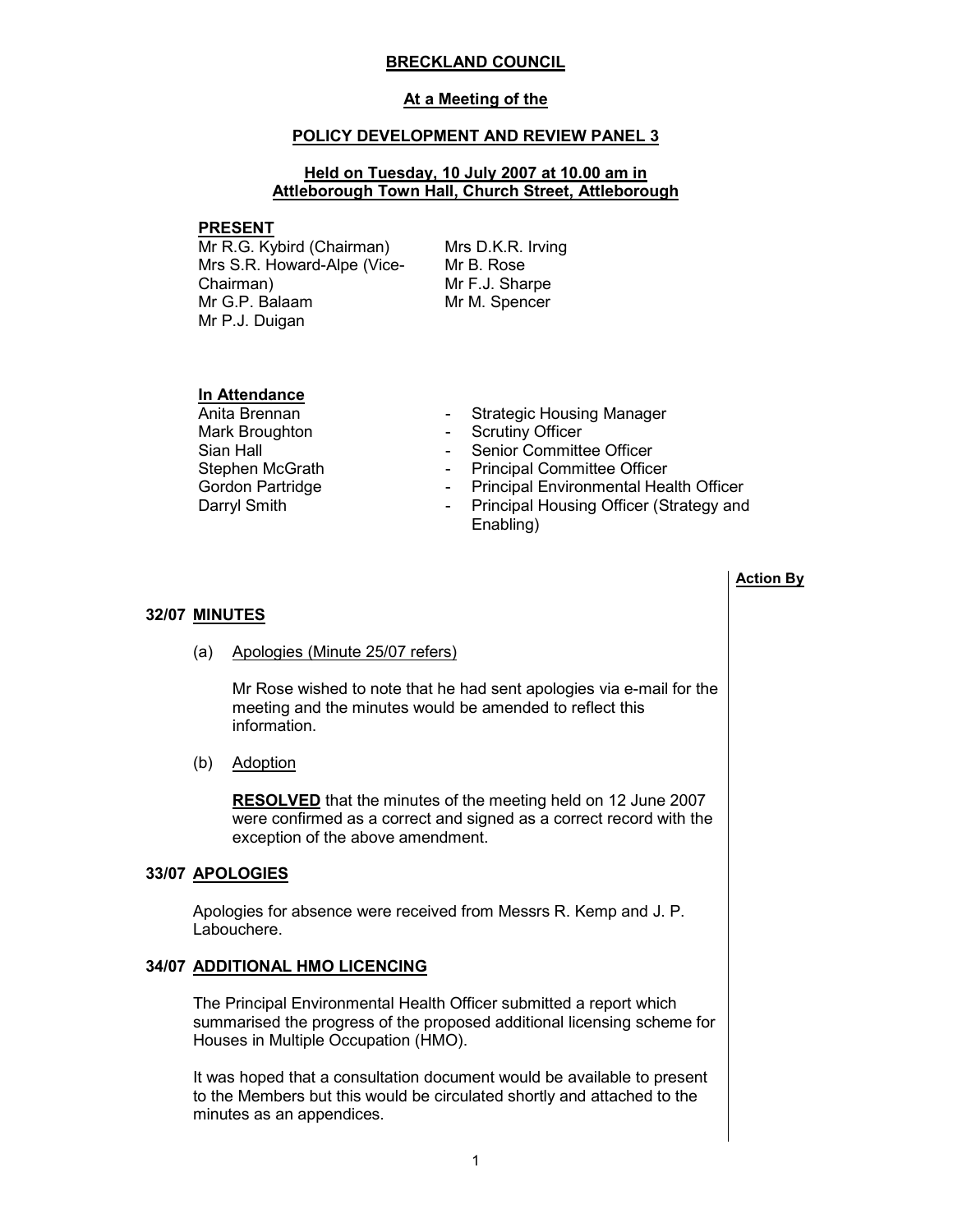### BRECKLAND COUNCIL

### At a Meeting of the

### POLICY DEVELOPMENT AND REVIEW PANEL 3

# Held on Tuesday, 10 July 2007 at 10.00 am in Attleborough Town Hall, Church Street, Attleborough

#### PRESENT

Mr R.G. Kybird (Chairman) Mrs S.R. Howard-Alpe (Vice-Chairman) Mr G.P. Balaam Mr P.J. Duigan

Mrs D.K.R. Irving Mr B. Rose Mr F.J. Sharpe Mr M. Spencer

# **In Attendance**<br>Anita Brennan

Mark Broughton **- Scrutiny Officer** Stephen McGrath - Principal Committee Officer<br>
Gordon Partridge - Principal Environmental Hea

- Strategic Housing Manager
- 
- Sian Hall **Sian Hall Sian Hall Sian Hall Sian Hall Committee Officer** 
	-
	- Principal Environmental Health Officer
- Darryl Smith **Darryl Smith** Principal Housing Officer (Strategy and Enabling)

### Action By

### 32/07 MINUTES

(a) Apologies (Minute 25/07 refers)

Mr Rose wished to note that he had sent apologies via e-mail for the meeting and the minutes would be amended to reflect this information.

(b) Adoption

RESOLVED that the minutes of the meeting held on 12 June 2007 were confirmed as a correct and signed as a correct record with the exception of the above amendment.

### 33/07 APOLOGIES

 Apologies for absence were received from Messrs R. Kemp and J. P. Labouchere.

# 34/07 ADDITIONAL HMO LICENCING

 The Principal Environmental Health Officer submitted a report which summarised the progress of the proposed additional licensing scheme for Houses in Multiple Occupation (HMO).

It was hoped that a consultation document would be available to present to the Members but this would be circulated shortly and attached to the minutes as an appendices.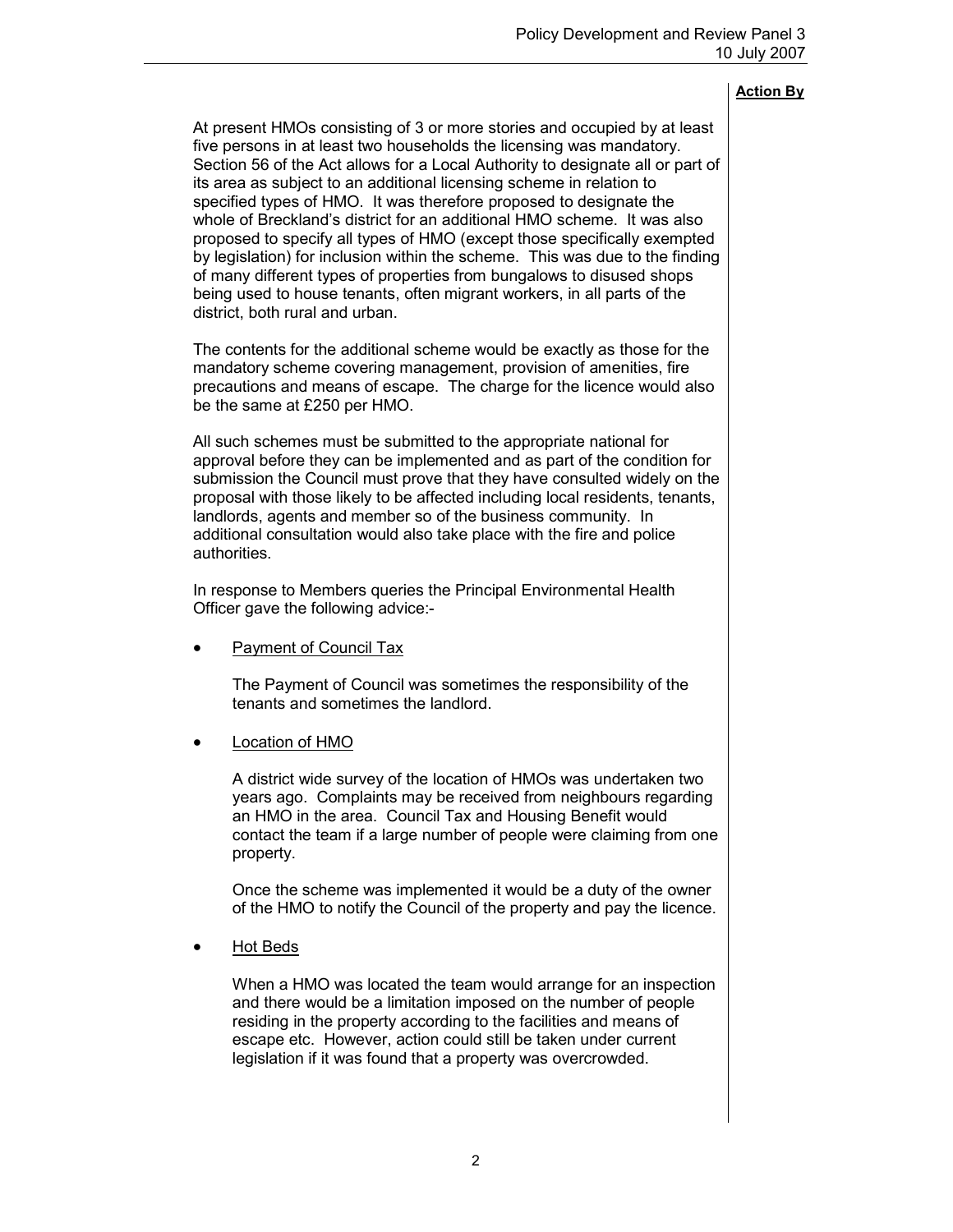| At present HMOs consisting of 3 or more stories and occupied by at least<br>five persons in at least two households the licensing was mandatory.<br>Section 56 of the Act allows for a Local Authority to designate all or part of<br>its area as subject to an additional licensing scheme in relation to<br>specified types of HMO. It was therefore proposed to designate the<br>whole of Breckland's district for an additional HMO scheme. It was also<br>proposed to specify all types of HMO (except those specifically exempted<br>by legislation) for inclusion within the scheme. This was due to the finding<br>of many different types of properties from bungalows to disused shops<br>being used to house tenants, often migrant workers, in all parts of the<br>district, both rural and urban. |  |
|----------------------------------------------------------------------------------------------------------------------------------------------------------------------------------------------------------------------------------------------------------------------------------------------------------------------------------------------------------------------------------------------------------------------------------------------------------------------------------------------------------------------------------------------------------------------------------------------------------------------------------------------------------------------------------------------------------------------------------------------------------------------------------------------------------------|--|
| The contents for the additional scheme would be exactly as those for the<br>mandatory scheme covering management, provision of amenities, fire<br>precautions and means of escape. The charge for the licence would also<br>be the same at £250 per HMO.                                                                                                                                                                                                                                                                                                                                                                                                                                                                                                                                                       |  |
| All such schemes must be submitted to the appropriate national for<br>approval before they can be implemented and as part of the condition for<br>submission the Council must prove that they have consulted widely on the<br>proposal with those likely to be affected including local residents, tenants,<br>landlords, agents and member so of the business community. In<br>additional consultation would also take place with the fire and police<br>authorities.                                                                                                                                                                                                                                                                                                                                         |  |
| In response to Members queries the Principal Environmental Health<br>Officer gave the following advice:-                                                                                                                                                                                                                                                                                                                                                                                                                                                                                                                                                                                                                                                                                                       |  |
| <b>Payment of Council Tax</b>                                                                                                                                                                                                                                                                                                                                                                                                                                                                                                                                                                                                                                                                                                                                                                                  |  |
| The Payment of Council was sometimes the responsibility of the<br>tenants and sometimes the landlord.                                                                                                                                                                                                                                                                                                                                                                                                                                                                                                                                                                                                                                                                                                          |  |
| Location of HMO                                                                                                                                                                                                                                                                                                                                                                                                                                                                                                                                                                                                                                                                                                                                                                                                |  |
| A district wide survey of the location of HMOs was undertaken two<br>years ago. Complaints may be received from neighbours regarding<br>an HMO in the area. Council Tax and Housing Benefit would<br>contact the team if a large number of people were claiming from one<br>property.                                                                                                                                                                                                                                                                                                                                                                                                                                                                                                                          |  |
| Once the scheme was implemented it would be a duty of the owner<br>of the HMO to notify the Council of the property and pay the licence.                                                                                                                                                                                                                                                                                                                                                                                                                                                                                                                                                                                                                                                                       |  |
| <b>Hot Beds</b>                                                                                                                                                                                                                                                                                                                                                                                                                                                                                                                                                                                                                                                                                                                                                                                                |  |
| When a HMO was located the team would arrange for an inspection<br>and there would be a limitation imposed on the number of people<br>residing in the property according to the facilities and means of<br>escape etc. However, action could still be taken under current<br>legislation if it was found that a property was overcrowded.                                                                                                                                                                                                                                                                                                                                                                                                                                                                      |  |
|                                                                                                                                                                                                                                                                                                                                                                                                                                                                                                                                                                                                                                                                                                                                                                                                                |  |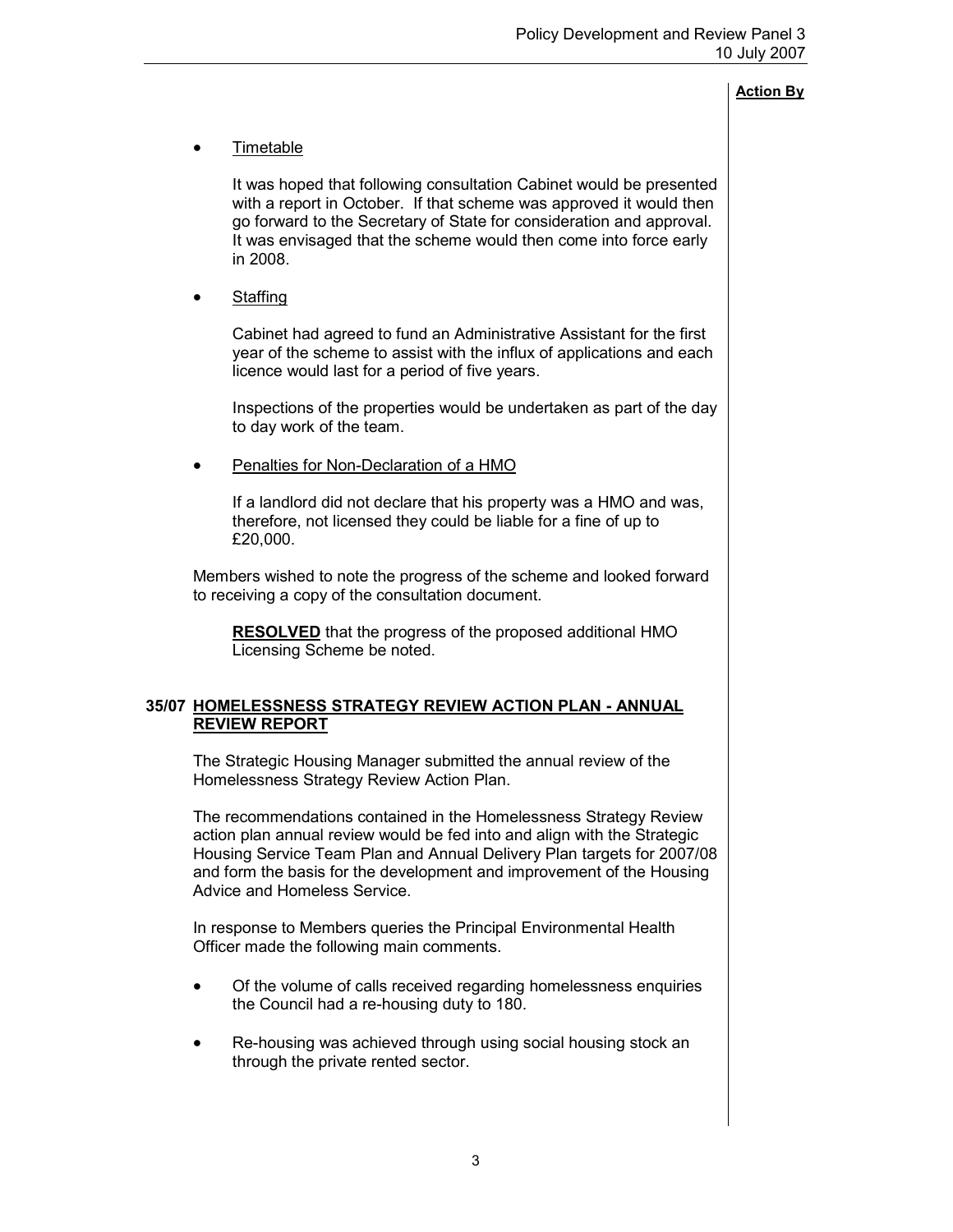# • Timetable

It was hoped that following consultation Cabinet would be presented with a report in October. If that scheme was approved it would then go forward to the Secretary of State for consideration and approval. It was envisaged that the scheme would then come into force early in 2008.

**Staffing** 

Cabinet had agreed to fund an Administrative Assistant for the first year of the scheme to assist with the influx of applications and each licence would last for a period of five years.

Inspections of the properties would be undertaken as part of the day to day work of the team.

• Penalties for Non-Declaration of a HMO

If a landlord did not declare that his property was a HMO and was, therefore, not licensed they could be liable for a fine of up to £20,000.

Members wished to note the progress of the scheme and looked forward to receiving a copy of the consultation document.

RESOLVED that the progress of the proposed additional HMO Licensing Scheme be noted.

# 35/07 HOMELESSNESS STRATEGY REVIEW ACTION PLAN - ANNUAL REVIEW REPORT

 The Strategic Housing Manager submitted the annual review of the Homelessness Strategy Review Action Plan.

The recommendations contained in the Homelessness Strategy Review action plan annual review would be fed into and align with the Strategic Housing Service Team Plan and Annual Delivery Plan targets for 2007/08 and form the basis for the development and improvement of the Housing Advice and Homeless Service.

In response to Members queries the Principal Environmental Health Officer made the following main comments.

- Of the volume of calls received regarding homelessness enquiries the Council had a re-housing duty to 180.
- Re-housing was achieved through using social housing stock an through the private rented sector.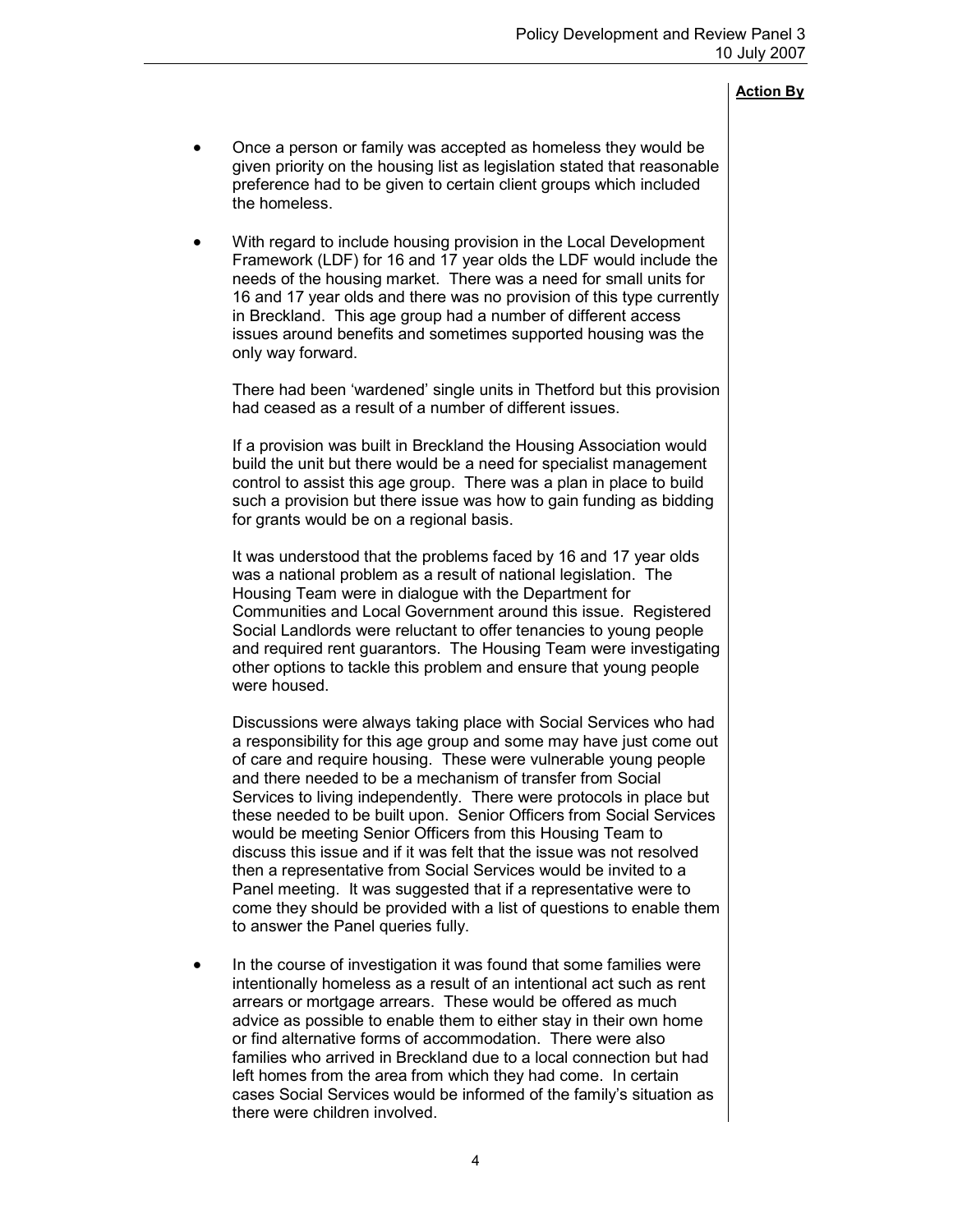- Once a person or family was accepted as homeless they would be given priority on the housing list as legislation stated that reasonable preference had to be given to certain client groups which included the homeless.
- With regard to include housing provision in the Local Development Framework (LDF) for 16 and 17 year olds the LDF would include the needs of the housing market. There was a need for small units for 16 and 17 year olds and there was no provision of this type currently in Breckland. This age group had a number of different access issues around benefits and sometimes supported housing was the only way forward.

There had been 'wardened' single units in Thetford but this provision had ceased as a result of a number of different issues.

If a provision was built in Breckland the Housing Association would build the unit but there would be a need for specialist management control to assist this age group. There was a plan in place to build such a provision but there issue was how to gain funding as bidding for grants would be on a regional basis.

It was understood that the problems faced by 16 and 17 year olds was a national problem as a result of national legislation. The Housing Team were in dialogue with the Department for Communities and Local Government around this issue. Registered Social Landlords were reluctant to offer tenancies to young people and required rent guarantors. The Housing Team were investigating other options to tackle this problem and ensure that young people were housed.

Discussions were always taking place with Social Services who had a responsibility for this age group and some may have just come out of care and require housing. These were vulnerable young people and there needed to be a mechanism of transfer from Social Services to living independently. There were protocols in place but these needed to be built upon. Senior Officers from Social Services would be meeting Senior Officers from this Housing Team to discuss this issue and if it was felt that the issue was not resolved then a representative from Social Services would be invited to a Panel meeting. It was suggested that if a representative were to come they should be provided with a list of questions to enable them to answer the Panel queries fully.

• In the course of investigation it was found that some families were intentionally homeless as a result of an intentional act such as rent arrears or mortgage arrears. These would be offered as much advice as possible to enable them to either stay in their own home or find alternative forms of accommodation. There were also families who arrived in Breckland due to a local connection but had left homes from the area from which they had come. In certain cases Social Services would be informed of the family's situation as there were children involved.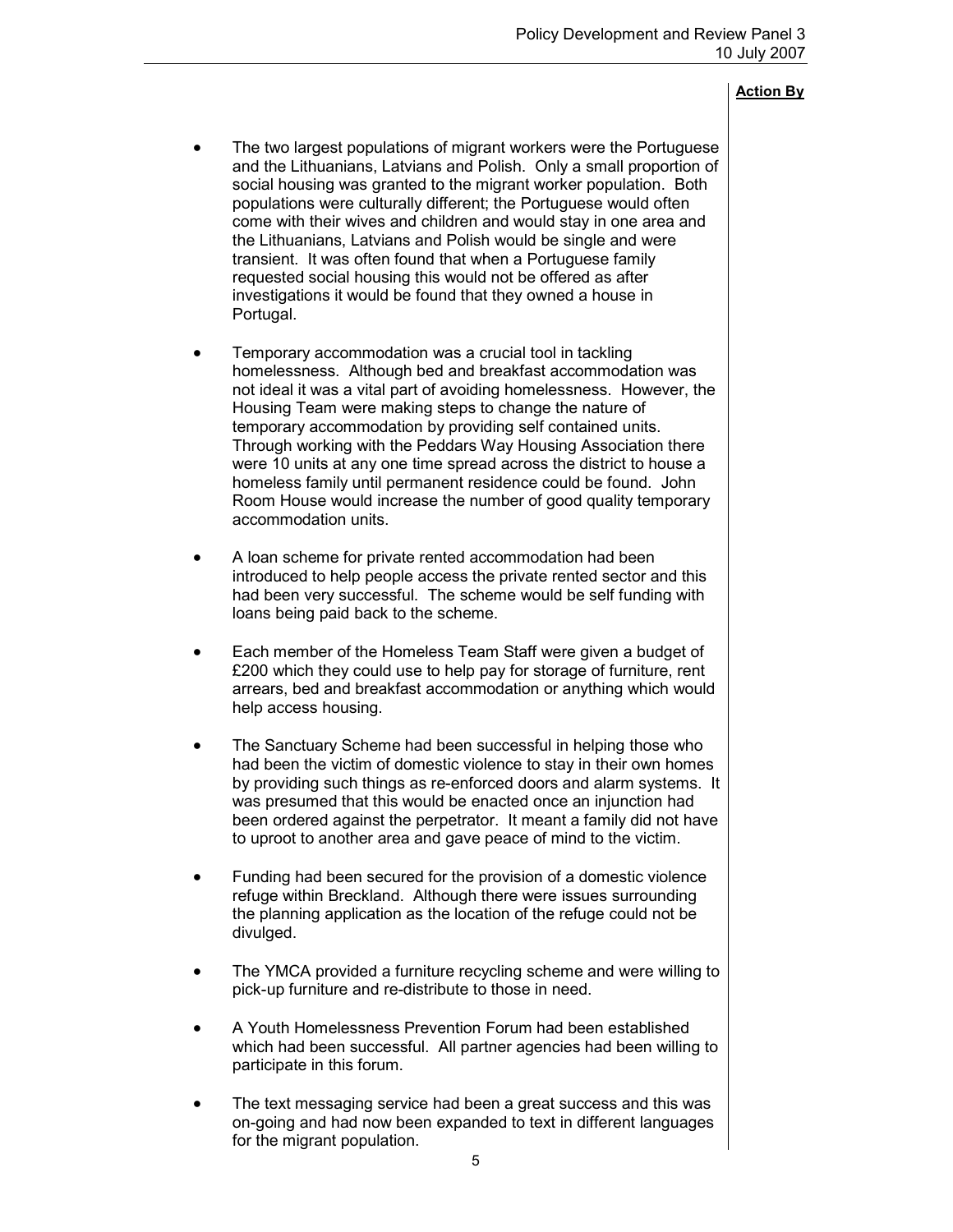- The two largest populations of migrant workers were the Portuguese and the Lithuanians, Latvians and Polish. Only a small proportion of social housing was granted to the migrant worker population. Both populations were culturally different; the Portuguese would often come with their wives and children and would stay in one area and the Lithuanians, Latvians and Polish would be single and were transient. It was often found that when a Portuguese family requested social housing this would not be offered as after investigations it would be found that they owned a house in Portugal.
- Temporary accommodation was a crucial tool in tackling homelessness. Although bed and breakfast accommodation was not ideal it was a vital part of avoiding homelessness. However, the Housing Team were making steps to change the nature of temporary accommodation by providing self contained units. Through working with the Peddars Way Housing Association there were 10 units at any one time spread across the district to house a homeless family until permanent residence could be found. John Room House would increase the number of good quality temporary accommodation units.
- A loan scheme for private rented accommodation had been introduced to help people access the private rented sector and this had been very successful. The scheme would be self funding with loans being paid back to the scheme.
- Each member of the Homeless Team Staff were given a budget of £200 which they could use to help pay for storage of furniture, rent arrears, bed and breakfast accommodation or anything which would help access housing.
- The Sanctuary Scheme had been successful in helping those who had been the victim of domestic violence to stay in their own homes by providing such things as re-enforced doors and alarm systems. It was presumed that this would be enacted once an injunction had been ordered against the perpetrator. It meant a family did not have to uproot to another area and gave peace of mind to the victim.
- Funding had been secured for the provision of a domestic violence refuge within Breckland. Although there were issues surrounding the planning application as the location of the refuge could not be divulged.
- The YMCA provided a furniture recycling scheme and were willing to pick-up furniture and re-distribute to those in need.
- A Youth Homelessness Prevention Forum had been established which had been successful. All partner agencies had been willing to participate in this forum.
- The text messaging service had been a great success and this was on-going and had now been expanded to text in different languages for the migrant population.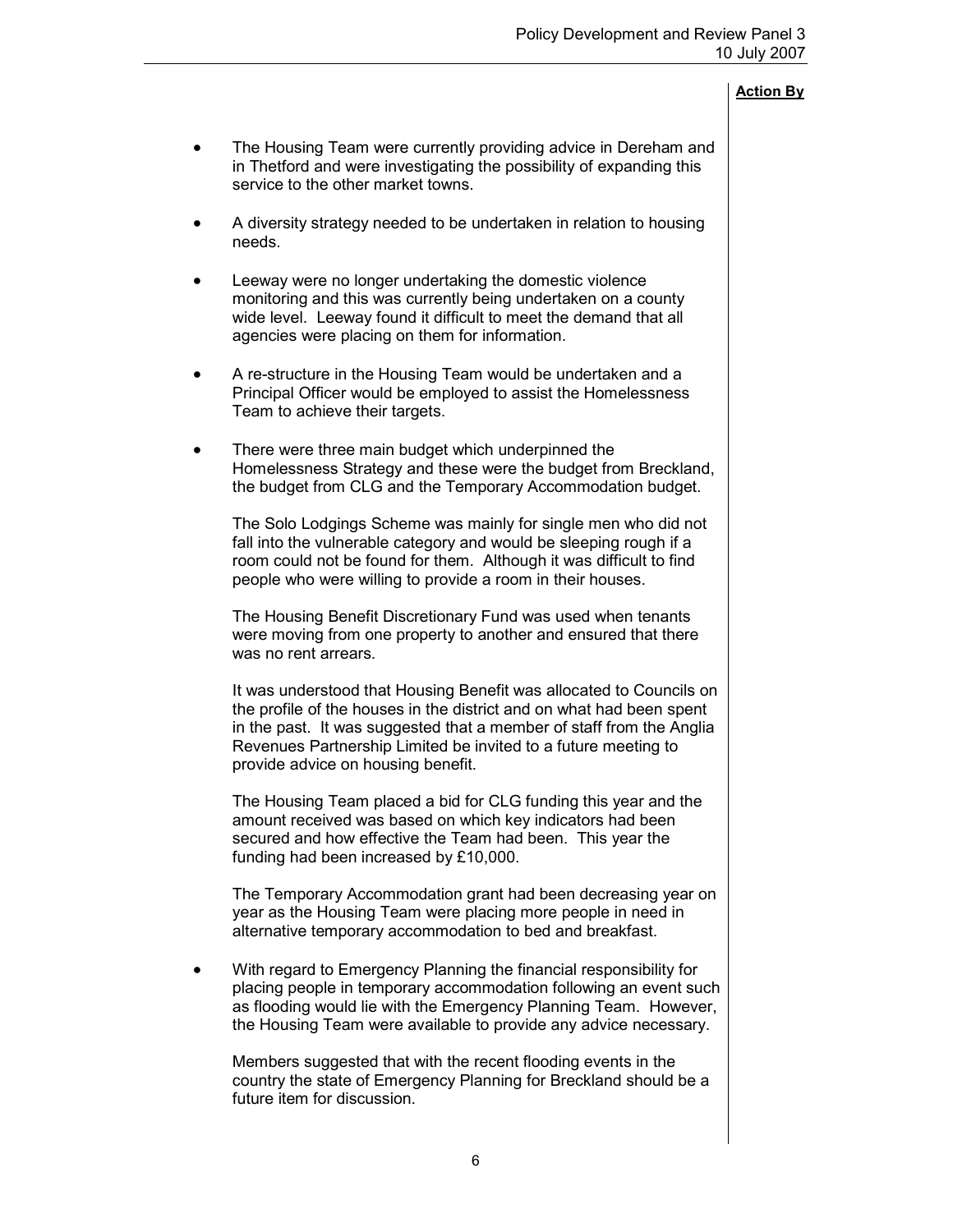- The Housing Team were currently providing advice in Dereham and in Thetford and were investigating the possibility of expanding this service to the other market towns.
- A diversity strategy needed to be undertaken in relation to housing needs.
- Leeway were no longer undertaking the domestic violence monitoring and this was currently being undertaken on a county wide level. Leeway found it difficult to meet the demand that all agencies were placing on them for information.
- A re-structure in the Housing Team would be undertaken and a Principal Officer would be employed to assist the Homelessness Team to achieve their targets.
- There were three main budget which underpinned the Homelessness Strategy and these were the budget from Breckland, the budget from CLG and the Temporary Accommodation budget.

The Solo Lodgings Scheme was mainly for single men who did not fall into the vulnerable category and would be sleeping rough if a room could not be found for them. Although it was difficult to find people who were willing to provide a room in their houses.

The Housing Benefit Discretionary Fund was used when tenants were moving from one property to another and ensured that there was no rent arrears.

It was understood that Housing Benefit was allocated to Councils on the profile of the houses in the district and on what had been spent in the past. It was suggested that a member of staff from the Anglia Revenues Partnership Limited be invited to a future meeting to provide advice on housing benefit.

The Housing Team placed a bid for CLG funding this year and the amount received was based on which key indicators had been secured and how effective the Team had been. This year the funding had been increased by £10,000.

The Temporary Accommodation grant had been decreasing year on year as the Housing Team were placing more people in need in alternative temporary accommodation to bed and breakfast.

• With regard to Emergency Planning the financial responsibility for placing people in temporary accommodation following an event such as flooding would lie with the Emergency Planning Team. However, the Housing Team were available to provide any advice necessary.

Members suggested that with the recent flooding events in the country the state of Emergency Planning for Breckland should be a future item for discussion.